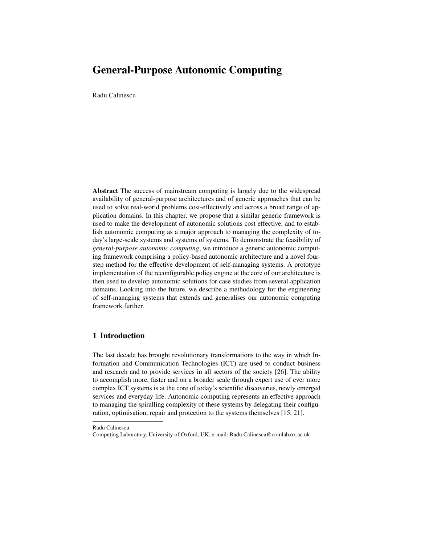Radu Calinescu

Abstract The success of mainstream computing is largely due to the widespread availability of general-purpose architectures and of generic approaches that can be used to solve real-world problems cost-effectively and across a broad range of application domains. In this chapter, we propose that a similar generic framework is used to make the development of autonomic solutions cost effective, and to establish autonomic computing as a major approach to managing the complexity of today's large-scale systems and systems of systems. To demonstrate the feasibility of *general-purpose autonomic computing*, we introduce a generic autonomic computing framework comprising a policy-based autonomic architecture and a novel fourstep method for the effective development of self-managing systems. A prototype implementation of the reconfigurable policy engine at the core of our architecture is then used to develop autonomic solutions for case studies from several application domains. Looking into the future, we describe a methodology for the engineering of self-managing systems that extends and generalises our autonomic computing framework further.

### 1 Introduction

The last decade has brought revolutionary transformations to the way in which Information and Communication Technologies (ICT) are used to conduct business and research and to provide services in all sectors of the society [26]. The ability to accomplish more, faster and on a broader scale through expert use of ever more complex ICT systems is at the core of today's scientific discoveries, newly emerged services and everyday life. Autonomic computing represents an effective approach to managing the spiralling complexity of these systems by delegating their configuration, optimisation, repair and protection to the systems themselves [15, 21].

Radu Calinescu

Computing Laboratory, University of Oxford, UK, e-mail: Radu.Calinescu@comlab.ox.ac.uk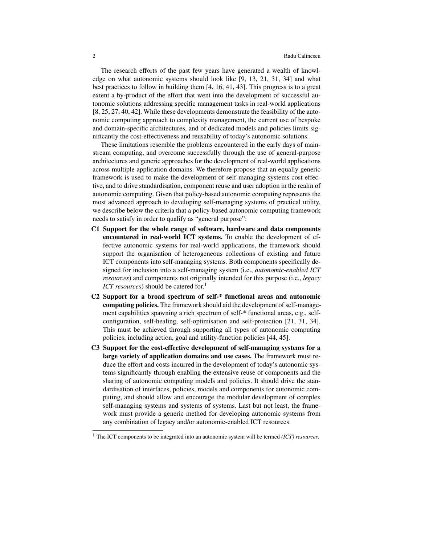The research efforts of the past few years have generated a wealth of knowledge on what autonomic systems should look like [9, 13, 21, 31, 34] and what best practices to follow in building them [4, 16, 41, 43]. This progress is to a great extent a by-product of the effort that went into the development of successful autonomic solutions addressing specific management tasks in real-world applications [8, 25, 27, 40, 42]. While these developments demonstrate the feasibility of the autonomic computing approach to complexity management, the current use of bespoke and domain-specific architectures, and of dedicated models and policies limits significantly the cost-effectiveness and reusability of today's autonomic solutions.

These limitations resemble the problems encountered in the early days of mainstream computing, and overcome successfully through the use of general-purpose architectures and generic approaches for the development of real-world applications across multiple application domains. We therefore propose that an equally generic framework is used to make the development of self-managing systems cost effective, and to drive standardisation, component reuse and user adoption in the realm of autonomic computing. Given that policy-based autonomic computing represents the most advanced approach to developing self-managing systems of practical utility, we describe below the criteria that a policy-based autonomic computing framework needs to satisfy in order to qualify as "general purpose":

- C1 Support for the whole range of software, hardware and data components encountered in real-world ICT systems. To enable the development of effective autonomic systems for real-world applications, the framework should support the organisation of heterogeneous collections of existing and future ICT components into self-managing systems. Both components specifically designed for inclusion into a self-managing system (i.e., *autonomic-enabled ICT resources*) and components not originally intended for this purpose (i.e., *legacy ICT resources*) should be catered for.<sup>1</sup>
- C2 Support for a broad spectrum of self-\* functional areas and autonomic computing policies. The framework should aid the development of self-management capabilities spawning a rich spectrum of self-\* functional areas, e.g., selfconfiguration, self-healing, self-optimisation and self-protection [21, 31, 34]. This must be achieved through supporting all types of autonomic computing policies, including action, goal and utility-function policies [44, 45].
- C3 Support for the cost-effective development of self-managing systems for a large variety of application domains and use cases. The framework must reduce the effort and costs incurred in the development of today's autonomic systems significantly through enabling the extensive reuse of components and the sharing of autonomic computing models and policies. It should drive the standardisation of interfaces, policies, models and components for autonomic computing, and should allow and encourage the modular development of complex self-managing systems and systems of systems. Last but not least, the framework must provide a generic method for developing autonomic systems from any combination of legacy and/or autonomic-enabled ICT resources.

<sup>1</sup> The ICT components to be integrated into an autonomic system will be termed *(ICT) resources*.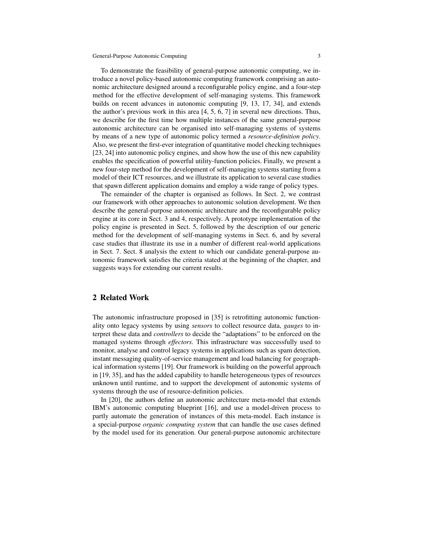To demonstrate the feasibility of general-purpose autonomic computing, we introduce a novel policy-based autonomic computing framework comprising an autonomic architecture designed around a reconfigurable policy engine, and a four-step method for the effective development of self-managing systems. This framework builds on recent advances in autonomic computing [9, 13, 17, 34], and extends the author's previous work in this area [4, 5, 6, 7] in several new directions. Thus, we describe for the first time how multiple instances of the same general-purpose autonomic architecture can be organised into self-managing systems of systems by means of a new type of autonomic policy termed a *resource-definition policy*. Also, we present the first-ever integration of quantitative model checking techniques [23, 24] into autonomic policy engines, and show how the use of this new capability enables the specification of powerful utility-function policies. Finally, we present a new four-step method for the development of self-managing systems starting from a model of their ICT resources, and we illustrate its application to several case studies that spawn different application domains and employ a wide range of policy types.

The remainder of the chapter is organised as follows. In Sect. 2, we contrast our framework with other approaches to autonomic solution development. We then describe the general-purpose autonomic architecture and the reconfigurable policy engine at its core in Sect. 3 and 4, respectively. A prototype implementation of the policy engine is presented in Sect. 5, followed by the description of our generic method for the development of self-managing systems in Sect. 6, and by several case studies that illustrate its use in a number of different real-world applications in Sect. 7. Sect. 8 analysis the extent to which our candidate general-purpose autonomic framework satisfies the criteria stated at the beginning of the chapter, and suggests ways for extending our current results.

#### 2 Related Work

The autonomic infrastructure proposed in [35] is retrofitting autonomic functionality onto legacy systems by using *sensors* to collect resource data, *gauges* to interpret these data and *controllers* to decide the "adaptations" to be enforced on the managed systems through *effectors*. This infrastructure was successfully used to monitor, analyse and control legacy systems in applications such as spam detection, instant messaging quality-of-service management and load balancing for geographical information systems [19]. Our framework is building on the powerful approach in [19, 35], and has the added capability to handle heterogeneous types of resources unknown until runtime, and to support the development of autonomic systems of systems through the use of resource-definition policies.

In [20], the authors define an autonomic architecture meta-model that extends IBM's autonomic computing blueprint [16], and use a model-driven process to partly automate the generation of instances of this meta-model. Each instance is a special-purpose *organic computing system* that can handle the use cases defined by the model used for its generation. Our general-purpose autonomic architecture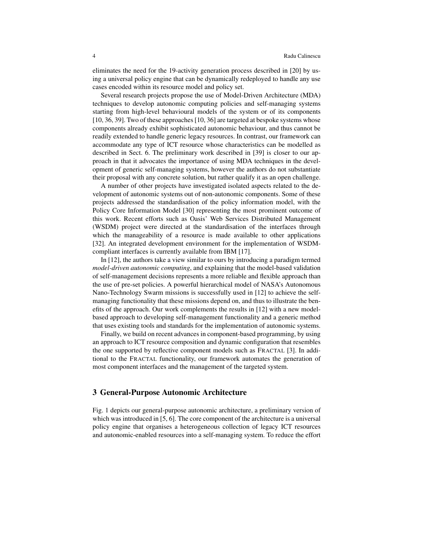eliminates the need for the 19-activity generation process described in [20] by using a universal policy engine that can be dynamically redeployed to handle any use cases encoded within its resource model and policy set.

Several research projects propose the use of Model-Driven Architecture (MDA) techniques to develop autonomic computing policies and self-managing systems starting from high-level behavioural models of the system or of its components [10, 36, 39]. Two of these approaches [10, 36] are targeted at bespoke systems whose components already exhibit sophisticated autonomic behaviour, and thus cannot be readily extended to handle generic legacy resources. In contrast, our framework can accommodate any type of ICT resource whose characteristics can be modelled as described in Sect. 6. The preliminary work described in [39] is closer to our approach in that it advocates the importance of using MDA techniques in the development of generic self-managing systems, however the authors do not substantiate their proposal with any concrete solution, but rather qualify it as an open challenge.

A number of other projects have investigated isolated aspects related to the development of autonomic systems out of non-autonomic components. Some of these projects addressed the standardisation of the policy information model, with the Policy Core Information Model [30] representing the most prominent outcome of this work. Recent efforts such as Oasis' Web Services Distributed Management (WSDM) project were directed at the standardisation of the interfaces through which the manageability of a resource is made available to other applications [32]. An integrated development environment for the implementation of WSDMcompliant interfaces is currently available from IBM [17].

In [12], the authors take a view similar to ours by introducing a paradigm termed *model-driven autonomic computing*, and explaining that the model-based validation of self-management decisions represents a more reliable and flexible approach than the use of pre-set policies. A powerful hierarchical model of NASA's Autonomous Nano-Technology Swarm missions is successfully used in [12] to achieve the selfmanaging functionality that these missions depend on, and thus to illustrate the benefits of the approach. Our work complements the results in [12] with a new modelbased approach to developing self-management functionality and a generic method that uses existing tools and standards for the implementation of autonomic systems.

Finally, we build on recent advances in component-based programming, by using an approach to ICT resource composition and dynamic configuration that resembles the one supported by reflective component models such as FRACTAL [3]. In additional to the FRACTAL functionality, our framework automates the generation of most component interfaces and the management of the targeted system.

#### 3 General-Purpose Autonomic Architecture

Fig. 1 depicts our general-purpose autonomic architecture, a preliminary version of which was introduced in [5, 6]. The core component of the architecture is a universal policy engine that organises a heterogeneous collection of legacy ICT resources and autonomic-enabled resources into a self-managing system. To reduce the effort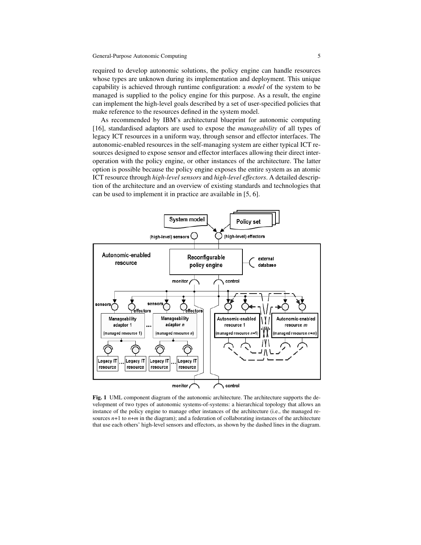required to develop autonomic solutions, the policy engine can handle resources whose types are unknown during its implementation and deployment. This unique capability is achieved through runtime configuration: a *model* of the system to be managed is supplied to the policy engine for this purpose. As a result, the engine can implement the high-level goals described by a set of user-specified policies that make reference to the resources defined in the system model.

As recommended by IBM's architectural blueprint for autonomic computing [16], standardised adaptors are used to expose the *manageability* of all types of legacy ICT resources in a uniform way, through sensor and effector interfaces. The autonomic-enabled resources in the self-managing system are either typical ICT resources designed to expose sensor and effector interfaces allowing their direct interoperation with the policy engine, or other instances of the architecture. The latter option is possible because the policy engine exposes the entire system as an atomic ICT resource through *high-level sensors* and *high-level effectors*. A detailed description of the architecture and an overview of existing standards and technologies that can be used to implement it in practice are available in [5, 6].



Fig. 1 UML component diagram of the autonomic architecture. The architecture supports the development of two types of autonomic systems-of-systems: a hierarchical topology that allows an instance of the policy engine to manage other instances of the architecture (i.e., the managed resources  $n+1$  to  $n+m$  in the diagram); and a federation of collaborating instances of the architecture that use each others' high-level sensors and effectors, as shown by the dashed lines in the diagram.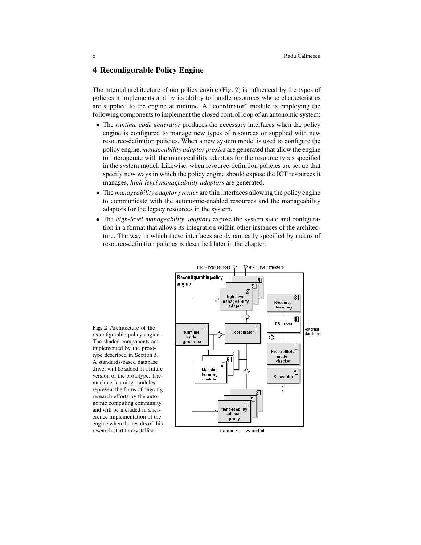# 4 Reconfigurable Policy Engine

The internal architecture of our policy engine (Fig. 2) is influenced by the types of policies it implements and by its ability to handle resources whose characteristics are supplied to the engine at runtime. A "coordinator" module is employing the following components to implement the closed control loop of an autonomic system:

- The *runtime code generator* produces the necessary interfaces when the policy engine is configured to manage new types of resources or supplied with new resource-definition policies. When a new system model is used to configure the policy engine, *manageability adaptor proxies* are generated that allow the engine to interoperate with the manageability adaptors for the resource types specified in the system model. Likewise, when resource-definition policies are set up that specify new ways in which the policy engine should expose the ICT resources it manages, *high-level manageability adaptors* are generated.
- The *manageability adaptor proxies* are thin interfaces allowing the policy engine to communicate with the autonomic-enabled resources and the manageability adaptors for the legacy resources in the system.
- The *high-level manageability adaptors* expose the system state and configuration in a format that allows its integration within other instances of the architecture. The way in which these interfaces are dynamically specified by means of resource-definition policies is described later in the chapter.



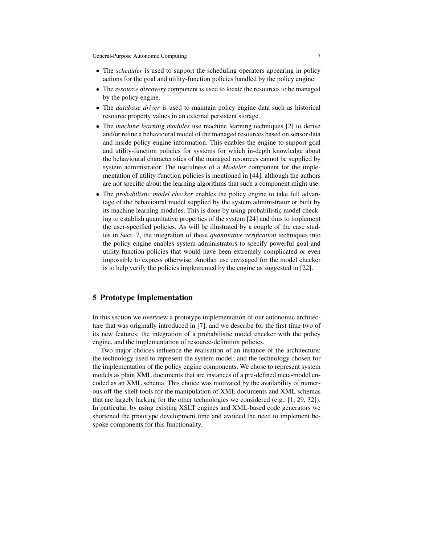- The *scheduler* is used to support the scheduling operators appearing in policy actions for the goal and utility-function policies handled by the policy engine.
- The *resource discovery* component is used to locate the resources to be managed by the policy engine.
- The *database driver* is used to maintain policy engine data such as historical resource property values in an external persistent storage.
- The *machine learning modules* use machine learning techniques [2] to derive and/or refine a behavioural model of the managed resources based on sensor data and inside policy engine information. This enables the engine to support goal and utility-function policies for systems for which in-depth knowledge about the behavioural characteristics of the managed resources cannot be supplied by system administrator. The usefulness of a *Modeler* component for the implementation of utility-function policies is mentioned in [44], although the authors are not specific about the learning algorithms that such a component might use.
- The *probabilistic model checker* enables the policy engine to take full advantage of the behavioural model supplied by the system administrator or built by its machine learning modules. This is done by using probabilistic model checking to establish quantitative properties of the system [24] and thus to implement the user-specified policies. As will be illustrated by a couple of the case studies in Sect. 7, the integration of these *quantitative verification* techniques into the policy engine enables system administrators to specify powerful goal and utility-function policies that would have been extremely complicated or even impossible to express otherwise. Another use envisaged for the model checker is to help verify the policies implemented by the engine as suggested in [22].

#### 5 Prototype Implementation

In this section we overview a prototype implementation of our autonomic architecture that was originally introduced in [7], and we describe for the first time two of its new features: the integration of a probabilistic model checker with the policy engine, and the implementation of resource-definition policies.

Two major choices influence the realisation of an instance of the architecture: the technology used to represent the system model; and the technology chosen for the implementation of the policy engine components. We chose to represent system models as plain XML documents that are instances of a pre-defined meta-model encoded as an XML schema. This choice was motivated by the availability of numerous off-the-shelf tools for the manipulation of XML documents and XML schemas that are largely lacking for the other technologies we considered (e.g., [1, 29, 32]). In particular, by using existing XSLT engines and XML-based code generators we shortened the prototype development time and avoided the need to implement bespoke components for this functionality.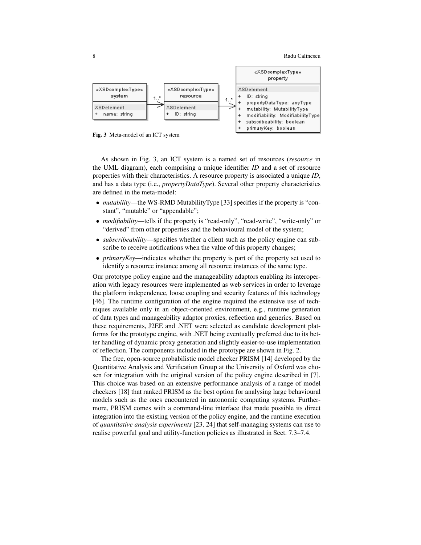8 Radu Calinescu



Fig. 3 Meta-model of an ICT system

As shown in Fig. 3, an ICT system is a named set of resources (*resource* in the UML diagram), each comprising a unique identifier *ID* and a set of resource properties with their characteristics. A resource property is associated a unique *ID*, and has a data type (i.e., *propertyDataType*). Several other property characteristics are defined in the meta-model:

- *mutability*—the WS-RMD MutabilityType [33] specifies if the property is "constant", "mutable" or "appendable";
- *modifiability*—tells if the property is "read-only", "read-write", "write-only" or "derived" from other properties and the behavioural model of the system;
- *subscribeability*—specifies whether a client such as the policy engine can subscribe to receive notifications when the value of this property changes;
- *primaryKey*—indicates whether the property is part of the property set used to identify a resource instance among all resource instances of the same type.

Our prototype policy engine and the manageability adaptors enabling its interoperation with legacy resources were implemented as web services in order to leverage the platform independence, loose coupling and security features of this technology [46]. The runtime configuration of the engine required the extensive use of techniques available only in an object-oriented environment, e.g., runtime generation of data types and manageability adaptor proxies, reflection and generics. Based on these requirements, J2EE and .NET were selected as candidate development platforms for the prototype engine, with .NET being eventually preferred due to its better handling of dynamic proxy generation and slightly easier-to-use implementation of reflection. The components included in the prototype are shown in Fig. 2.

The free, open-source probabilistic model checker PRISM [14] developed by the Quantitative Analysis and Verification Group at the University of Oxford was chosen for integration with the original version of the policy engine described in [7]. This choice was based on an extensive performance analysis of a range of model checkers [18] that ranked PRISM as the best option for analysing large behavioural models such as the ones encountered in autonomic computing systems. Furthermore, PRISM comes with a command-line interface that made possible its direct integration into the existing version of the policy engine, and the runtime execution of *quantitative analysis experiments* [23, 24] that self-managing systems can use to realise powerful goal and utility-function policies as illustrated in Sect. 7.3–7.4.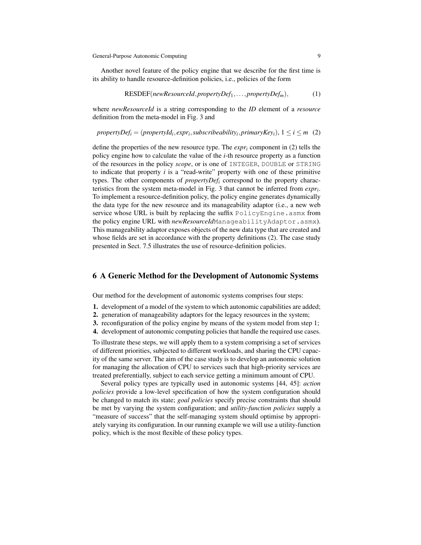Another novel feature of the policy engine that we describe for the first time is its ability to handle resource-definition policies, i.e., policies of the form

$$
RESDEF(newResourceId, propertyDef_1, \ldots, propertyDef_m), \qquad (1)
$$

where *newResourceId* is a string corresponding to the *ID* element of a *resource* definition from the meta-model in Fig. 3 and

$$
propertyDef_i = (propertyId_i, expr_i, subscribeability_i, primaryKey_i), 1 \le i \le m
$$
 (2)

define the properties of the new resource type. The *expr<sup>i</sup>* component in (2) tells the policy engine how to calculate the value of the *i*-th resource property as a function of the resources in the policy *scope*, or is one of INTEGER, DOUBLE or STRING to indicate that property *i* is a "read-write" property with one of these primitive types. The other components of *propertyDef<sup>i</sup>* correspond to the property characteristics from the system meta-model in Fig. 3 that cannot be inferred from *expr<sup>i</sup>* . To implement a resource-definition policy, the policy engine generates dynamically the data type for the new resource and its manageability adaptor (i.e., a new web service whose URL is built by replacing the suffix PolicyEngine.asmx from the policy engine URL with *newResourceId*ManageabilityAdaptor.asmx). This manageability adaptor exposes objects of the new data type that are created and whose fields are set in accordance with the property definitions (2). The case study presented in Sect. 7.5 illustrates the use of resource-definition policies.

## 6 A Generic Method for the Development of Autonomic Systems

Our method for the development of autonomic systems comprises four steps:

- 1. development of a model of the system to which autonomic capabilities are added;
- 2. generation of manageability adaptors for the legacy resources in the system;
- 3. reconfiguration of the policy engine by means of the system model from step 1;
- 4. development of autonomic computing policies that handle the required use cases.

To illustrate these steps, we will apply them to a system comprising a set of services of different priorities, subjected to different workloads, and sharing the CPU capacity of the same server. The aim of the case study is to develop an autonomic solution for managing the allocation of CPU to services such that high-priority services are treated preferentially, subject to each service getting a minimum amount of CPU.

Several policy types are typically used in autonomic systems [44, 45]: *action policies* provide a low-level specification of how the system configuration should be changed to match its state; *goal policies* specify precise constraints that should be met by varying the system configuration; and *utility-function policies* supply a "measure of success" that the self-managing system should optimise by appropriately varying its configuration. In our running example we will use a utility-function policy, which is the most flexible of these policy types.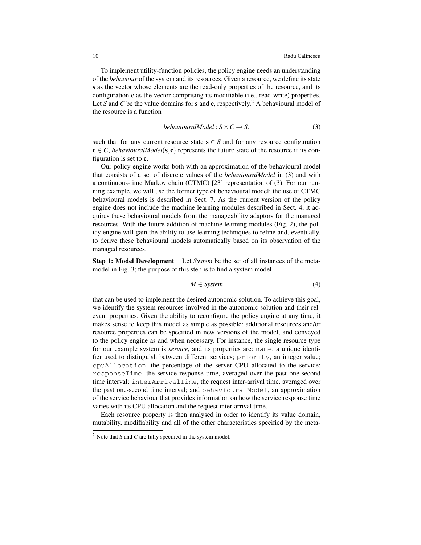To implement utility-function policies, the policy engine needs an understanding of the *behaviour* of the system and its resources. Given a resource, we define its state s as the vector whose elements are the read-only properties of the resource, and its configuration c as the vector comprising its modifiable (i.e., read-write) properties. Let *S* and *C* be the value domains for **s** and **c**, respectively.<sup>2</sup> A behavioural model of the resource is a function

$$
behaviouralModel: S \times C \rightarrow S,
$$
\n(3)

such that for any current resource state  $s \in S$  and for any resource configuration  $c \in C$ , *behaviouralModel*(s, c) represents the future state of the resource if its configuration is set to c.

Our policy engine works both with an approximation of the behavioural model that consists of a set of discrete values of the *behaviouralModel* in (3) and with a continuous-time Markov chain (CTMC) [23] representation of (3). For our running example, we will use the former type of behavioural model; the use of CTMC behavioural models is described in Sect. 7. As the current version of the policy engine does not include the machine learning modules described in Sect. 4, it acquires these behavioural models from the manageability adaptors for the managed resources. With the future addition of machine learning modules (Fig. 2), the policy engine will gain the ability to use learning techniques to refine and, eventually, to derive these behavioural models automatically based on its observation of the managed resources.

Step 1: Model Development Let *System* be the set of all instances of the metamodel in Fig. 3; the purpose of this step is to find a system model

$$
M \in System \tag{4}
$$

that can be used to implement the desired autonomic solution. To achieve this goal, we identify the system resources involved in the autonomic solution and their relevant properties. Given the ability to reconfigure the policy engine at any time, it makes sense to keep this model as simple as possible: additional resources and/or resource properties can be specified in new versions of the model, and conveyed to the policy engine as and when necessary. For instance, the single resource type for our example system is *service*, and its properties are: name, a unique identifier used to distinguish between different services; priority, an integer value; cpuAllocation, the percentage of the server CPU allocated to the service; responseTime, the service response time, averaged over the past one-second time interval; interArrivalTime, the request inter-arrival time, averaged over the past one-second time interval; and behaviouralModel, an approximation of the service behaviour that provides information on how the service response time varies with its CPU allocation and the request inter-arrival time.

Each resource property is then analysed in order to identify its value domain, mutability, modifiability and all of the other characteristics specified by the meta-

<sup>2</sup> Note that *S* and *C* are fully specified in the system model.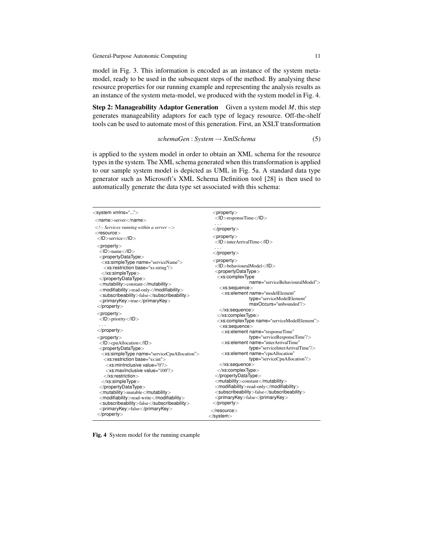model in Fig. 3. This information is encoded as an instance of the system metamodel, ready to be used in the subsequent steps of the method. By analysing these resource properties for our running example and representing the analysis results as an instance of the system meta-model, we produced with the system model in Fig. 4.

Step 2: Manageability Adaptor Generation Given a system model *M*, this step generates manageability adaptors for each type of legacy resource. Off-the-shelf tools can be used to automate most of this generation. First, an XSLT transformation

$$
schemaGen: System \rightarrow XmISchema \tag{5}
$$

is applied to the system model in order to obtain an XML schema for the resource types in the system. The XML schema generated when this transformation is applied to our sample system model is depicted as UML in Fig. 5a. A standard data type generator such as Microsoft's XML Schema Definition tool [28] is then used to automatically generate the data type set associated with this schema:

| <system xmlns=""></system>                                                                                                                                                                                                                                                                                                                                                                                                                                                                                                                                                                                                                                                                                                                              | $<$ property $>$                                                                                                                                                                                                                                                                                                                                                                                                                                                                                                                                                                                                                                                                                                                                                                                                                                                                              |
|---------------------------------------------------------------------------------------------------------------------------------------------------------------------------------------------------------------------------------------------------------------------------------------------------------------------------------------------------------------------------------------------------------------------------------------------------------------------------------------------------------------------------------------------------------------------------------------------------------------------------------------------------------------------------------------------------------------------------------------------------------|-----------------------------------------------------------------------------------------------------------------------------------------------------------------------------------------------------------------------------------------------------------------------------------------------------------------------------------------------------------------------------------------------------------------------------------------------------------------------------------------------------------------------------------------------------------------------------------------------------------------------------------------------------------------------------------------------------------------------------------------------------------------------------------------------------------------------------------------------------------------------------------------------|
| <name>server</name>                                                                                                                                                                                                                                                                                                                                                                                                                                                                                                                                                                                                                                                                                                                                     | <id>responseTime</id>                                                                                                                                                                                                                                                                                                                                                                                                                                                                                                                                                                                                                                                                                                                                                                                                                                                                         |
| $\langle$ -- Services running within a server -- $>$<br>$<$ resource $>$<br>$<$ ID $>$ service $<$ /ID $>$                                                                                                                                                                                                                                                                                                                                                                                                                                                                                                                                                                                                                                              | $<$ /property $>$<br>$<$ property $>$<br><id>interArrivalTime</id>                                                                                                                                                                                                                                                                                                                                                                                                                                                                                                                                                                                                                                                                                                                                                                                                                            |
| $<$ property $>$<br>$<$ ID $>$ name $<$ /ID $>$<br>$<$ propertyDataType $>$<br><xs:simpletype name="serviceName"><br/><xs:restriction base="xs:string"></xs:restriction><br/><math>\langle x</math>s:simpleType<math>&gt;</math><br/><math>&lt;</math>/propertyDataType<math>&gt;</math><br/><mutability>constant</mutability><br/><modifiability>read-only</modifiability><br/><subscribeability>false</subscribeability><br/><primarykey>true</primarykey><br/><math>&lt;</math>/property<math>&gt;</math><br/><math>&lt;</math>property<math>&gt;</math></xs:simpletype>                                                                                                                                                                             | $<$ /property $>$<br>$<$ property $>$<br><id>behaviouralModel</id><br>$<$ propertyDataType $>$<br><xs:complextype<br>name="serviceBehaviouralModel"&gt;<br/><math>&lt;</math>xs:sequence<math>&gt;</math><br/><xs:element <br="" name="modelElement">type="serviceModelElement"<br/><math>maxOccurs="unbounded"</math><br/><math>\langle</math>xs:sequence<math>&gt;</math><br/><math>\langle x</math>s:complexType<math>&gt;</math></xs:element></xs:complextype<br>                                                                                                                                                                                                                                                                                                                                                                                                                         |
| <id>priority</id><br>$<$ /property $>$<br>$<$ property $>$<br><id>cpuAllocation</id><br>$<$ propertyDataType $>$<br><xs:simpletype name="serviceCpuAllocation"><br/><math>&lt;</math>xs:restriction base="xs:int"&gt;<br/><xs:minlnclusive value="0"></xs:minlnclusive><br/><math>&lt;</math>xs:maxinclusive value="100"/<math>&gt;</math><br/><math>\langle</math>xs:restriction<math>&gt;</math><br/><math>\langle x</math>s:simpleType<math>&gt;</math><br/><math>&lt;</math>/propertyDataType<math>&gt;</math><br/><mutability>mutable</mutability><br/><modifiability>read-write</modifiability><br/><subscribeability>false</subscribeability><br/><primarykey>false</primarykey><br/><math>&lt;</math>/property<math>&gt;</math></xs:simpletype> | <xs:complextype name="serviceModelElement"><br/><math>&lt;</math>xs:sequence<math>&gt;</math><br/><xs:element <br="" name="responseTime">type="serviceResponseTime"/&gt;<br/><xs:element <br="" name="interArrivalTime">type="serviceInterArrivalTime"/&gt;<br/><xs:element <br="" name="cpuAllocation">type="serviceCpuAllocation"/&gt;<br/><math>\langle</math>xs:sequence<math>&gt;</math><br/><math>\langle</math>xs:complexType<math>&gt;</math><br/><math>\langle</math>propertyDataType<math>&gt;</math><br/><mutability>constant</mutability><br/><modifiability>read-only</modifiability><br/><subscribeability>false</subscribeability><br/><primarykey>false</primarykey><br/><math>&lt;</math>/property<math>&gt;</math><br/><math>\langle</math>/resource<math>&gt;</math><br/><math>&lt;</math>/system<math>&gt;</math></xs:element></xs:element></xs:element></xs:complextype> |

Fig. 4 System model for the running example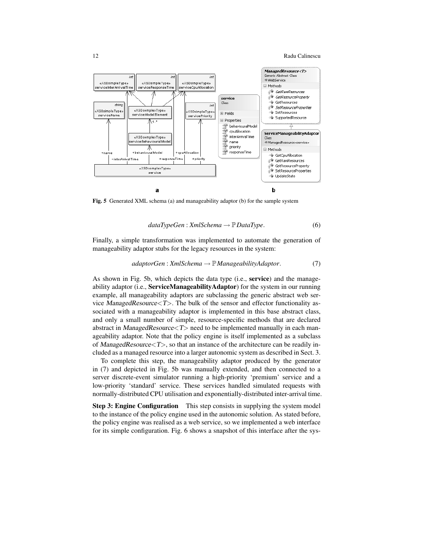

Fig. 5 Generated XML schema (a) and manageability adaptor (b) for the sample system

$$
dataTypeGen: XmlSchema \to \mathbb{P} DataType.
$$
 (6)

Finally, a simple transformation was implemented to automate the generation of manageability adaptor stubs for the legacy resources in the system:

$$
adapt or Gen: XmlSchema \to \mathbb{P} \, ManageabilityAdaptor. \tag{7}
$$

As shown in Fig. 5b, which depicts the data type (i.e., service) and the manageability adaptor (i.e., ServiceManageabilityAdaptor) for the system in our running example, all manageability adaptors are subclassing the generic abstract web service ManagedResource $\langle T \rangle$ . The bulk of the sensor and effector functionality associated with a manageability adaptor is implemented in this base abstract class, and only a small number of simple, resource-specific methods that are declared abstract in ManagedResource $\langle T \rangle$  need to be implemented manually in each manageability adaptor. Note that the policy engine is itself implemented as a subclass of ManagedResource $\langle T \rangle$ , so that an instance of the architecture can be readily included as a managed resource into a larger autonomic system as described in Sect. 3.

To complete this step, the manageability adaptor produced by the generator in (7) and depicted in Fig. 5b was manually extended, and then connected to a server discrete-event simulator running a high-priority 'premium' service and a low-priority 'standard' service. These services handled simulated requests with normally-distributed CPU utilisation and exponentially-distributed inter-arrival time.

Step 3: Engine Configuration This step consists in supplying the system model to the instance of the policy engine used in the autonomic solution. As stated before, the policy engine was realised as a web service, so we implemented a web interface for its simple configuration. Fig. 6 shows a snapshot of this interface after the sys-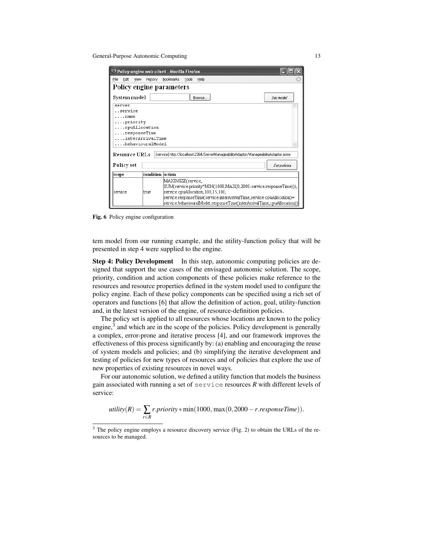

Fig. 6 Policy engine configuration

tem model from our running example, and the utility-function policy that will be presented in step 4 were supplied to the engine.

**Step 4: Policy Development** In this step, autonomic computing policies are designed that support the use cases of the envisaged autonomic solution. The scope, priority, condition and action components of these policies make reference to the resources and resource properties defined in the system model used to configure the policy engine. Each of these policy components can be specified using a rich set of operators and functions [6] that allow the definition of action, goal, utility-function and, in the latest version of the engine, of resource-definition policies.

The policy set is applied to all resources whose locations are known to the policy engine,<sup>3</sup> and which are in the scope of the policies. Policy development is generally a complex, error-prone and iterative process [4], and our framework improves the effectiveness of this process significantly by: (a) enabling and encouraging the reuse of system models and policies; and (b) simplifying the iterative development and testing of policies for new types of resources and of policies that explore the use of new properties of existing resources in novel ways.

For our autonomic solution, we defined a utility function that models the business gain associated with running a set of service resources *R* with different levels of service:

$$
utility(R) = \sum_{r \in R} r \cdot priority * \min(1000, \max(0, 2000 - r \cdot responseTime)).
$$

<sup>&</sup>lt;sup>3</sup> The policy engine employs a resource discovery service (Fig. 2) to obtain the URLs of the resources to be managed.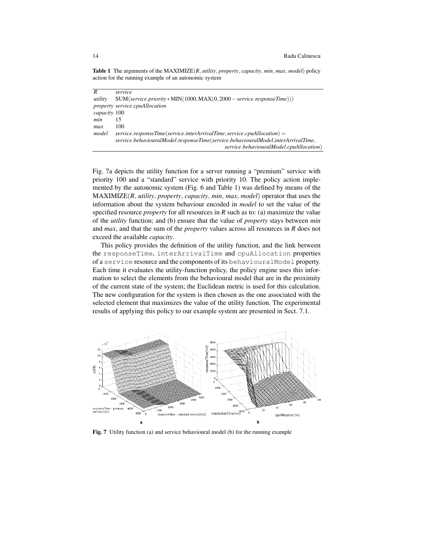Table 1 The arguments of the MAXIMIZE(*R*, *utility*, *property*, *capacity*, *min*, *max*, *model*) policy action for the running example of an autonomic system

| R            | service                                                                          |
|--------------|----------------------------------------------------------------------------------|
| utility      | $SUM(s$ ervice.priority * MIN(1000, MAX(0, 2000 – service.responseTime)))        |
|              | property service.cpuAllocation                                                   |
| capacity 100 |                                                                                  |
| min          | 15                                                                               |
| max          | 100                                                                              |
| model        | $s$ ervice.responseTime(service.interArrivalTime,service.cpuAllocation) =        |
|              | service.behaviouralModel.responseTime(service.behaviouralModel.interArrivalTime, |
|              | service.behaviouralModel.cpuAllocation)                                          |

Fig. 7a depicts the utility function for a server running a "premium" service with priority 100 and a "standard" service with priority 10. The policy action implemented by the autonomic system (Fig. 6 and Table 1) was defined by means of the MAXIMIZE(*R*, *utility*, *property*, *capacity*, *min*, *max*, *model*) operator that uses the information about the system behaviour encoded in *model* to set the value of the specified resource *property* for all resources in *R* such as to: (a) maximize the value of the *utility* function; and (b) ensure that the value of *property* stays between *min* and *max*, and that the sum of the *property* values across all resources in *R* does not exceed the available *capacity*.

This policy provides the definition of the utility function, and the link between the responseTime, interArrivalTime and cpuAllocation properties of a service resource and the components of its behaviouralModel property. Each time it evaluates the utility-function policy, the policy engine uses this information to select the elements from the behavioural model that are in the proximity of the current state of the system; the Euclidean metric is used for this calculation. The new configuration for the system is then chosen as the one associated with the selected element that maximizes the value of the utility function. The experimental results of applying this policy to our example system are presented in Sect. 7.1.



Fig. 7 Utility function (a) and service behavioural model (b) for the running example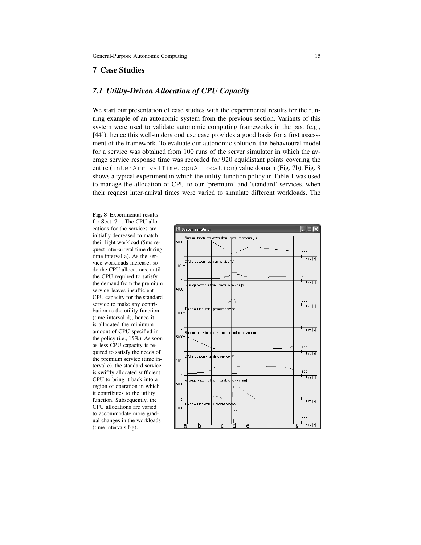# 7 Case Studies

# *7.1 Utility-Driven Allocation of CPU Capacity*

We start our presentation of case studies with the experimental results for the running example of an autonomic system from the previous section. Variants of this system were used to validate autonomic computing frameworks in the past (e.g., [44]), hence this well-understood use case provides a good basis for a first assessment of the framework. To evaluate our autonomic solution, the behavioural model for a service was obtained from 100 runs of the server simulator in which the average service response time was recorded for 920 equidistant points covering the entire (interArrivalTime, cpuAllocation) value domain (Fig. 7b). Fig. 8 shows a typical experiment in which the utility-function policy in Table 1 was used to manage the allocation of CPU to our 'premium' and 'standard' services, when their request inter-arrival times were varied to simulate different workloads. The

Fig. 8 Experimental results for Sect. 7.1. The CPU allocations for the services are initially decreased to match their light workload (5ms request inter-arrival time during time interval a). As the service workloads increase, so do the CPU allocations, until the CPU required to satisfy the demand from the premium service leaves insufficient CPU capacity for the standard service to make any contribution to the utility function (time interval d), hence it is allocated the minimum amount of CPU specified in the policy (i.e., 15%). As soon as less CPU capacity is required to satisfy the needs of the premium service (time interval e), the standard service is swiftly allocated sufficient CPU to bring it back into a region of operation in which it contributes to the utility function. Subsequently, the CPU allocations are varied to accommodate more gradual changes in the workloads (time intervals f-g).

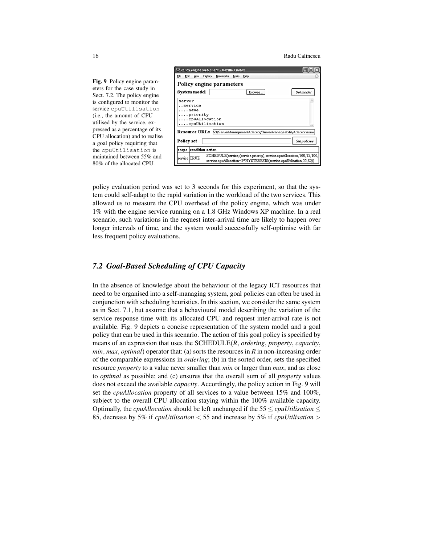Fig. 9 Policy engine parameters for the case study in Sect. 7.2. The policy engine is configured to monitor the service cpuUtilisation (i.e., the amount of CPU utilised by the service, expressed as a percentage of its CPU allocation) and to realise a goal policy requiring that the cpuUtilisation is maintained between 55% and 80% of the allocated CPU.

|                                                                                             | Policy engine web client - Mozilla Firefox |        |  |                                                                                                                                            |  |  |
|---------------------------------------------------------------------------------------------|--------------------------------------------|--------|--|--------------------------------------------------------------------------------------------------------------------------------------------|--|--|
| File<br>Edit                                                                                | View History Bookmarks Tools               | Help   |  |                                                                                                                                            |  |  |
| Policy engine parameters                                                                    |                                            |        |  |                                                                                                                                            |  |  |
| System model                                                                                |                                            | Browse |  | Set model                                                                                                                                  |  |  |
| server<br>service<br>$\ldots$ name<br>priority<br>$\ldots$ .cpuAllocation<br>cpuUtilisation |                                            |        |  |                                                                                                                                            |  |  |
| Resource URLs  53/ServerManagementAdaptor/ServerManageabilityAdaptor.asm>                   |                                            |        |  |                                                                                                                                            |  |  |
| <b>Policy set</b>                                                                           |                                            |        |  | Set policies                                                                                                                               |  |  |
| condition action<br>scope                                                                   |                                            |        |  |                                                                                                                                            |  |  |
| service TRUE                                                                                |                                            |        |  | SCHEDULE(service,(service.priority),service.cpuAllocation,100,15,100,<br>service.cpuAllocation+5*HYSTERESIS(service.cpuUtilisation.55.80)) |  |  |

policy evaluation period was set to 3 seconds for this experiment, so that the system could self-adapt to the rapid variation in the workload of the two services. This allowed us to measure the CPU overhead of the policy engine, which was under 1% with the engine service running on a 1.8 GHz Windows XP machine. In a real scenario, such variations in the request inter-arrival time are likely to happen over longer intervals of time, and the system would successfully self-optimise with far less frequent policy evaluations.

# *7.2 Goal-Based Scheduling of CPU Capacity*

In the absence of knowledge about the behaviour of the legacy ICT resources that need to be organised into a self-managing system, goal policies can often be used in conjunction with scheduling heuristics. In this section, we consider the same system as in Sect. 7.1, but assume that a behavioural model describing the variation of the service response time with its allocated CPU and request inter-arrival rate is not available. Fig. 9 depicts a concise representation of the system model and a goal policy that can be used in this scenario. The action of this goal policy is specified by means of an expression that uses the SCHEDULE(*R*, *ordering*, *property*, *capacity*, *min*, *max*, *optimal*) operator that: (a) sorts the resources in *R* in non-increasing order of the comparable expressions in *ordering*; (b) in the sorted order, sets the specified resource *property* to a value never smaller than *min* or larger than *max*, and as close to *optimal* as possible; and (c) ensures that the overall sum of all *property* values does not exceed the available *capacity*. Accordingly, the policy action in Fig. 9 will set the *cpuAllocation* property of all services to a value between 15% and 100%, subject to the overall CPU allocation staying within the 100% available capacity. Optimally, the *cpuAllocation* should be left unchanged if the 55 ≤ *cpuUtilisation* ≤ 85, decrease by 5% if *cpuUtilisation* < 55 and increase by 5% if *cpuUtilisation* >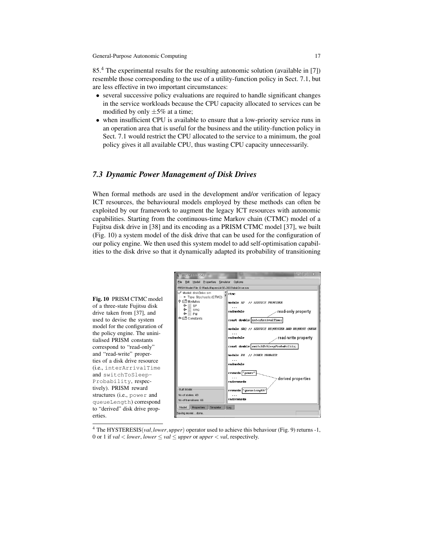85.<sup>4</sup> The experimental results for the resulting autonomic solution (available in [7]) resemble those corresponding to the use of a utility-function policy in Sect. 7.1, but are less effective in two important circumstances:

- several successive policy evaluations are required to handle significant changes in the service workloads because the CPU capacity allocated to services can be modified by only  $\pm 5\%$  at a time;
- when insufficient CPU is available to ensure that a low-priority service runs in an operation area that is useful for the business and the utility-function policy in Sect. 7.1 would restrict the CPU allocated to the service to a minimum, the goal policy gives it all available CPU, thus wasting CPU capacity unnecessarily.

### *7.3 Dynamic Power Management of Disk Drives*

When formal methods are used in the development and/or verification of legacy ICT resources, the behavioural models employed by these methods can often be exploited by our framework to augment the legacy ICT resources with autonomic capabilities. Starting from the continuous-time Markov chain (CTMC) model of a Fujitsu disk drive in [38] and its encoding as a PRISM CTMC model [37], we built (Fig. 10) a system model of the disk drive that can be used for the configuration of our policy engine. We then used this system model to add self-optimisation capabilities to the disk drive so that it dynamically adapted its probability of transitioning



<sup>4</sup> The HYSTERESIS(*val*,*lower*,*upper*) operator used to achieve this behaviour (Fig. 9) returns -1, 0 or 1 if *val* < *lower*, *lower*  $\leq$  *val*  $\leq$  *upper* or *upper* < *val*, *respectively.*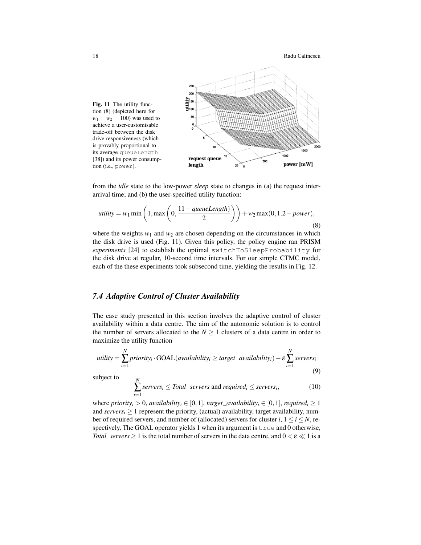18 Radu Calinescu



from the *idle* state to the low-power *sleep* state to changes in (a) the request interarrival time; and (b) the user-specified utility function:

*utility* = 
$$
w_1
$$
 min $\left(1, \max\left(0, \frac{11 - queueLength)}{2}\right)\right) + w_2 \max(0, 1.2 - power),$  (8)

where the weights  $w_1$  and  $w_2$  are chosen depending on the circumstances in which the disk drive is used (Fig. 11). Given this policy, the policy engine ran PRISM *experiments* [24] to establish the optimal switchToSleepProbability for the disk drive at regular, 10-second time intervals. For our simple CTMC model, each of the these experiments took subsecond time, yielding the results in Fig. 12.

# *7.4 Adaptive Control of Cluster Availability*

The case study presented in this section involves the adaptive control of cluster availability within a data centre. The aim of the autonomic solution is to control the number of servers allocated to the  $N \geq 1$  clusters of a data centre in order to maximize the utility function

$$
utility = \sum_{i=1}^{N} priority_i \cdot GOAL(availableility_i \ge target\_availableility_i) - \varepsilon \sum_{i=1}^{N} servers_i
$$
\n(9)

subject to

$$
\sum_{i=1}^{N} servers_i \le \text{Total\_servers} \text{ and required}_i \le \text{servers}_i,\tag{10}
$$

where *priority*<sub>*i*</sub> > 0, *availability*<sub>*i*</sub>  $\in$  [0,1], *target\_availability*<sub>*i*</sub>  $\in$  [0,1], *required*<sub>*i*</sub>  $\geq$  1 and  $servers<sub>i</sub> \geq 1$  represent the priority, (actual) availability, target availability, number of required servers, and number of (allocated) servers for cluster  $i, 1 \le i \le N$ , respectively. The GOAL operator yields 1 when its argument is  $t$  rue and 0 otherwise, *Total\_servers*  $\geq 1$  is the total number of servers in the data centre, and  $0 \lt \epsilon \ll 1$  is a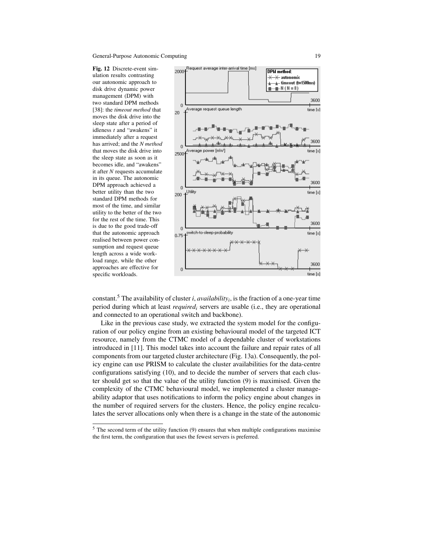Fig. 12 Discrete-event simulation results contrasting our autonomic approach to disk drive dynamic power management (DPM) with two standard DPM methods [38]: the *timeout method* that moves the disk drive into the sleep state after a period of idleness *t* and "awakens" it immediately after a request has arrived; and the *N method* that moves the disk drive into the sleep state as soon as it becomes idle, and "awakens" it after *N* requests accumulate in its queue. The autonomic DPM approach achieved a better utility than the two standard DPM methods for most of the time, and similar utility to the better of the two for the rest of the time. This is due to the good trade-off that the autonomic approach realised between power consumption and request queue length across a wide workload range, while the other approaches are effective for specific workloads.



constant.<sup>5</sup> The availability of cluster *i*, *availability<sup>i</sup>* , is the fraction of a one-year time period during which at least *required<sup>i</sup>* servers are usable (i.e., they are operational and connected to an operational switch and backbone).

Like in the previous case study, we extracted the system model for the configuration of our policy engine from an existing behavioural model of the targeted ICT resource, namely from the CTMC model of a dependable cluster of workstations introduced in [11]. This model takes into account the failure and repair rates of all components from our targeted cluster architecture (Fig. 13a). Consequently, the policy engine can use PRISM to calculate the cluster availabilities for the data-centre configurations satisfying (10), and to decide the number of servers that each cluster should get so that the value of the utility function (9) is maximised. Given the complexity of the CTMC behavioural model, we implemented a cluster manageability adaptor that uses notifications to inform the policy engine about changes in the number of required servers for the clusters. Hence, the policy engine recalculates the server allocations only when there is a change in the state of the autonomic

 $5$  The second term of the utility function (9) ensures that when multiple configurations maximise the first term, the configuration that uses the fewest servers is preferred.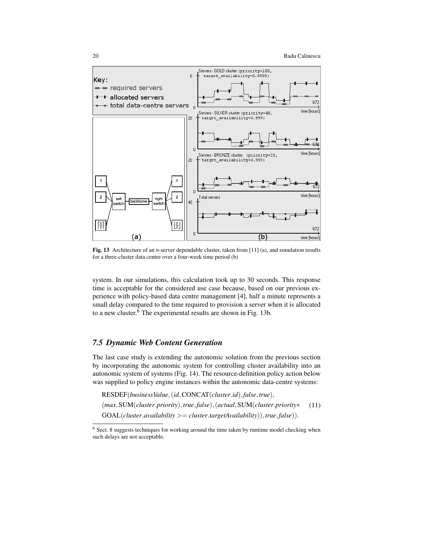

Fig. 13 Architecture of an *n*-server dependable cluster, taken from [11] (a), and simulation results for a three-cluster data centre over a four-week time period (b)

system. In our simulations, this calculation took up to 30 seconds. This response time is acceptable for the considered use case because, based on our previous experience with policy-based data centre management [4], half a minute represents a small delay compared to the time required to provision a server when it is allocated to a new cluster. $6$  The experimental results are shown in Fig. 13b.

## *7.5 Dynamic Web Content Generation*

The last case study is extending the autonomic solution from the previous section by incorporating the autonomic system for controlling cluster availability into an autonomic system of systems (Fig. 14). The resource-definition policy action below was supplied to policy engine instances within the autonomic data-centre systems:

RESDEF(*businessValue*,(*id*,CONCAT(*cluster*.*id*),*false*,*true*), (*max*,SUM(*cluster*.*priority*),*true*,*false*),(*actual*,SUM(*cluster*.*priority*∗ GOAL(*cluster*.*availability* >= *cluster*.*targetAvailability*)),*true*,*false*)). (11)

<sup>&</sup>lt;sup>6</sup> Sect. 8 suggests techniques for working around the time taken by runtime model checking when such delays are not acceptable.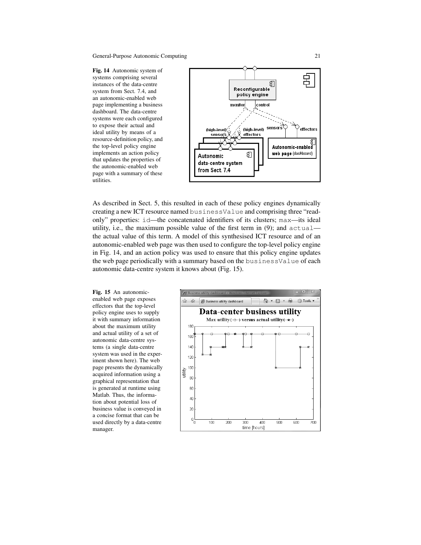Fig. 14 Autonomic system of systems comprising several instances of the data-centre system from Sect. 7.4, and an autonomic-enabled web page implementing a business dashboard. The data-centre systems were each configured to expose their actual and ideal utility by means of a resource-definition policy, and the top-level policy engine implements an action policy that updates the properties of the autonomic-enabled web page with a summary of these utilities.



As described in Sect. 5, this resulted in each of these policy engines dynamically creating a new ICT resource named businessValue and comprising three "readonly" properties: id—the concatenated identifiers of its clusters; max—its ideal utility, i.e., the maximum possible value of the first term in  $(9)$ ; and  $actual$ the actual value of this term. A model of this synthesised ICT resource and of an autonomic-enabled web page was then used to configure the top-level policy engine in Fig. 14, and an action policy was used to ensure that this policy engine updates the web page periodically with a summary based on the businessValue of each autonomic data-centre system it knows about (Fig. 15).

Fig. 15 An autonomicenabled web page exposes effectors that the top-level policy engine uses to supply it with summary information about the maximum utility and actual utility of a set of autonomic data-centre systems (a single data-centre system was used in the experiment shown here). The web page presents the dynamically acquired information using a graphical representation that is generated at runtime using Matlab. Thus, the information about potential loss of business value is conveyed in a concise format that can be used directly by a data-centre manager.

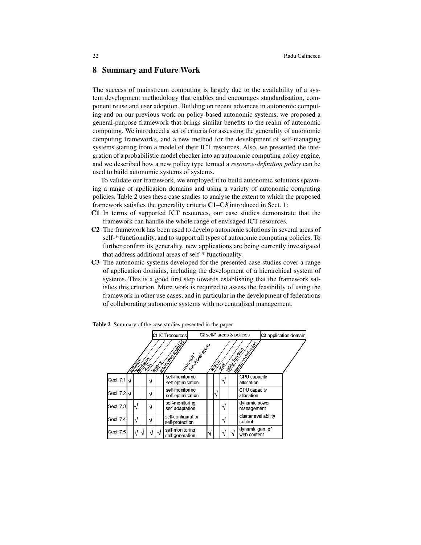#### 8 Summary and Future Work

The success of mainstream computing is largely due to the availability of a system development methodology that enables and encourages standardisation, component reuse and user adoption. Building on recent advances in autonomic computing and on our previous work on policy-based autonomic systems, we proposed a general-purpose framework that brings similar benefits to the realm of autonomic computing. We introduced a set of criteria for assessing the generality of autonomic computing frameworks, and a new method for the development of self-managing systems starting from a model of their ICT resources. Also, we presented the integration of a probabilistic model checker into an autonomic computing policy engine, and we described how a new policy type termed a *resource-definition policy* can be used to build autonomic systems of systems.

To validate our framework, we employed it to build autonomic solutions spawning a range of application domains and using a variety of autonomic computing policies. Table 2 uses these case studies to analyse the extent to which the proposed framework satisfies the generality criteria C1–C3 introduced in Sect. 1:

- C1 In terms of supported ICT resources, our case studies demonstrate that the framework can handle the whole range of envisaged ICT resources.
- C2 The framework has been used to develop autonomic solutions in several areas of self-\* functionality, and to support all types of autonomic computing policies. To further confirm its generality, new applications are being currently investigated that address additional areas of self-\* functionality.
- C3 The autonomic systems developed for the presented case studies cover a range of application domains, including the development of a hierarchical system of systems. This is a good first step towards establishing that the framework satisfies this criterion. More work is required to assess the feasibility of using the framework in other use cases, and in particular in the development of federations of collaborating autonomic systems with no centralised management.

| C <sub>2</sub> self-* areas & policies<br>C1 ICT resources                                                                               |  |   |  |   |  |                                       |  |  |   | C3 application domain           |  |
|------------------------------------------------------------------------------------------------------------------------------------------|--|---|--|---|--|---------------------------------------|--|--|---|---------------------------------|--|
| <b>REGISTERING</b><br>Part Both River<br><b>Million Road</b><br><b>Leonard Rev</b><br><b>SORTA</b><br><b>Printing</b><br><b>S</b><br>roj |  |   |  |   |  |                                       |  |  |   |                                 |  |
| Sect. 7.1 \                                                                                                                              |  |   |  | ٦ |  | self-monitoring<br>self-optimisation  |  |  | ν | CPU capacity<br>allocation      |  |
| Sect. 7.2 N                                                                                                                              |  |   |  | ٦ |  | self-monitoring<br>self-optimisation  |  |  |   | CPU capacity<br>allocation      |  |
| Sect. 7.3                                                                                                                                |  | V |  | ٦ |  | self-monitoring<br>self-adaptation    |  |  | V | dynamic power<br>management     |  |
| Sect. 7.4                                                                                                                                |  | V |  | ٦ |  | self-configuration<br>self-protection |  |  | V | cluster availability<br>control |  |
| Sect. 7.5                                                                                                                                |  |   |  |   |  | self-monitoring<br>self-generation    |  |  |   | dynamic gen. of<br>web content  |  |

Table 2 Summary of the case studies presented in the paper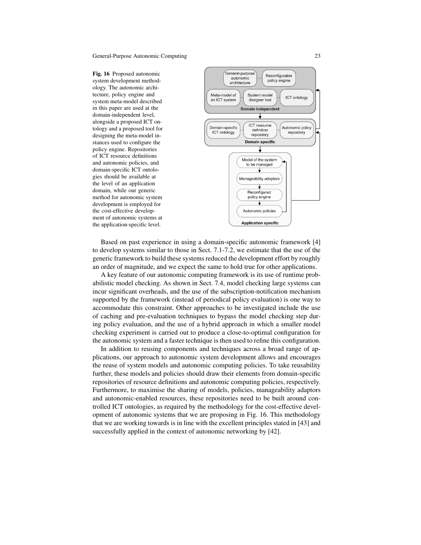Fig. 16 Proposed autonomic system development methodology. The autonomic architecture, policy engine and system meta-model described in this paper are used at the domain-independent level, alongside a proposed ICT ontology and a proposed tool for designing the meta-model instances used to configure the policy engine. Repositories of ICT resource definitions and autonomic policies, and domain-specific ICT ontologies should be available at the level of an application domain, while our generic method for autonomic system development is employed for the cost-effective development of autonomic systems at the application-specific level.



Based on past experience in using a domain-specific autonomic framework [4] to develop systems similar to those in Sect. 7.1-7.2, we estimate that the use of the generic framework to build these systems reduced the development effort by roughly an order of magnitude, and we expect the same to hold true for other applications.

A key feature of our autonomic computing framework is its use of runtime probabilistic model checking. As shown in Sect. 7.4, model checking large systems can incur significant overheads, and the use of the subscription-notification mechanism supported by the framework (instead of periodical policy evaluation) is one way to accommodate this constraint. Other approaches to be investigated include the use of caching and pre-evaluation techniques to bypass the model checking step during policy evaluation, and the use of a hybrid approach in which a smaller model checking experiment is carried out to produce a close-to-optimal configuration for the autonomic system and a faster technique is then used to refine this configuration.

In addition to reusing components and techniques across a broad range of applications, our approach to autonomic system development allows and encourages the reuse of system models and autonomic computing policies. To take reusability further, these models and policies should draw their elements from domain-specific repositories of resource definitions and autonomic computing policies, respectively. Furthermore, to maximise the sharing of models, policies, manageability adaptors and autonomic-enabled resources, these repositories need to be built around controlled ICT ontologies, as required by the methodology for the cost-effective development of autonomic systems that we are proposing in Fig. 16. This methodology that we are working towards is in line with the excellent principles stated in [43] and successfully applied in the context of autonomic networking by [42].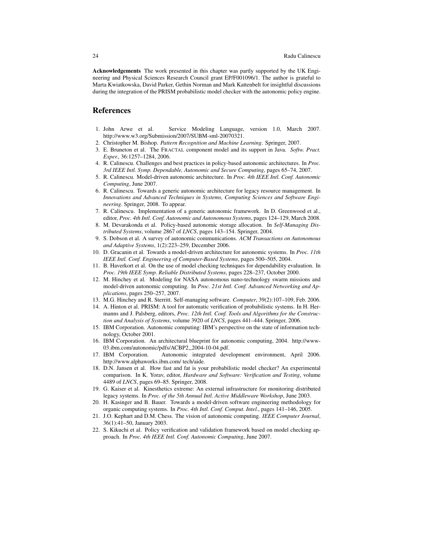Acknowledgements The work presented in this chapter was partly supported by the UK Engineering and Physical Sciences Research Council grant EP/F001096/1. The author is grateful to Marta Kwiatkowska, David Parker, Gethin Norman and Mark Kattenbelt for insightful discussions during the integration of the PRISM probabilistic model checker with the autonomic policy engine.

### References

- 1. John Arwe et al. Service Modeling Language, version 1.0, March 2007. http://www.w3.org/Submission/2007/SUBM-sml-20070321.
- 2. Christopher M. Bishop. *Pattern Recognition and Machine Learning*. Springer, 2007.
- 3. E. Bruneton et al. The FRACTAL component model and its support in Java. *Softw. Pract. Exper.*, 36:1257–1284, 2006.
- 4. R. Calinescu. Challenges and best practices in policy-based autonomic architectures. In *Proc. 3rd IEEE Intl. Symp. Dependable, Autonomic and Secure Computing*, pages 65–74, 2007.
- 5. R. Calinescu. Model-driven autonomic architecture. In *Proc. 4th IEEE Intl. Conf. Autonomic Computing*, June 2007.
- 6. R. Calinescu. Towards a generic autonomic architecture for legacy resource management. In *Innovations and Advanced Techniques in Systems, Computing Sciences and Software Engineering*. Springer, 2008. To appear.
- 7. R. Calinescu. Implementation of a generic autonomic framework. In D. Greenwood et al., editor, *Proc. 4th Intl. Conf. Autonomic and Autonomous Systems*, pages 124–129, March 2008.
- 8. M. Devarakonda et al. Policy-based autonomic storage allocation. In *Self-Managing Distributed Systems*, volume 2867 of *LNCS*, pages 143–154. Springer, 2004.
- 9. S. Dobson et al. A survey of autonomic communications. *ACM Transactions on Autonomous and Adaptive Systems*, 1(2):223–259, December 2006.
- 10. D. Gracanin et al. Towards a model-driven architecture for autonomic systems. In *Proc. 11th IEEE Intl. Conf. Engineering of Computer-Based Systems*, pages 500–505, 2004.
- 11. B. Haverkort et al. On the use of model checking techniques for dependability evaluation. In *Proc. 19th IEEE Symp. Reliable Distributed Systems*, pages 228–237, October 2000.
- 12. M. Hinchey et al. Modeling for NASA autonomous nano-technology swarm missions and model-driven autonomic computing. In *Proc. 21st Intl. Conf. Advanced Networking and Applications*, pages 250–257, 2007.
- 13. M.G. Hinchey and R. Sterritt. Self-managing software. *Computer*, 39(2):107–109, Feb. 2006.
- 14. A. Hinton et al. PRISM: A tool for automatic verification of probabilistic systems. In H. Hermanns and J. Palsberg, editors, *Proc. 12th Intl. Conf. Tools and Algorithms for the Construction and Analysis of Systems*, volume 3920 of *LNCS*, pages 441–444. Springer, 2006.
- 15. IBM Corporation. Autonomic computing: IBM's perspective on the state of information technology, October 2001.
- 16. IBM Corporation. An architectural blueprint for autonomic computing, 2004. http://www-03.ibm.com/autonomic/pdfs/ACBP2 2004-10-04.pdf.
- 17. IBM Corporation. Autonomic integrated development environment, April 2006. http://www.alphaworks.ibm.com/ tech/aide.
- 18. D.N. Jansen et al. How fast and fat is your probabilistic model checker? An experimental comparison. In K. Yorav, editor, *Hardware and Software: Verification and Testing*, volume 4489 of *LNCS*, pages 69–85. Springer, 2008.
- 19. G. Kaiser et al. Kinesthetics extreme: An external infrastructure for monitoring distributed legacy systems. In *Proc. of the 5th Annual Intl. Active Middleware Workshop*, June 2003.
- 20. H. Kasinger and B. Bauer. Towards a model-driven software engineering methodology for organic computing systems. In *Proc. 4th Intl. Conf. Comput. Intel.*, pages 141–146, 2005.
- 21. J.O. Kephart and D.M. Chess. The vision of autonomic computing. *IEEE Computer Journal*, 36(1):41–50, January 2003.
- 22. S. Kikuchi et al. Policy verification and validation framework based on model checking approach. In *Proc. 4th IEEE Intl. Conf. Autonomic Computing*, June 2007.